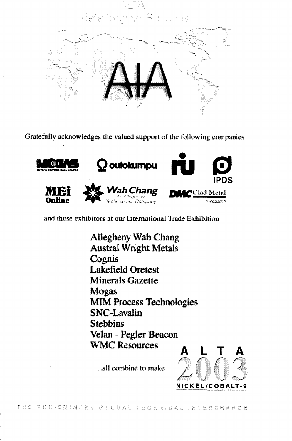

Gratefully acknowledges the valued support of the following companies



and those exhibitors at our International Trade Exhibition

Allegheny Wah Chang Austral Wright Metals Cognis Lakefield Oretest Minerals Gazette Mogas MIM Process Technologies SNC-Lavalin **Stebbins** Velan - Pegler Beacon **WMC Resources** 

..all combine to make

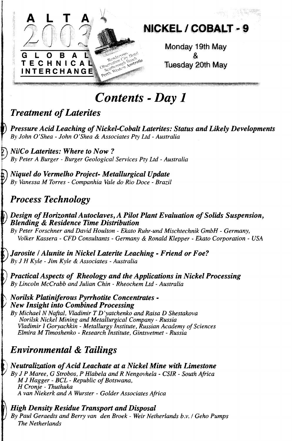

# *Contents* **-** *Day 1*

### *Treatment of Laterites*

*Pressure Acid Leaching of Nickel-Cobalt Laterites: Status and Likely Developments By John O'Shea - John O'Shea & Associates Pty Ltd - Australia*

*T\ Ni/Co Laterites: Where to Now ? •^ By Peter A Burger - Burger Geological Services Pty Ltd - Australia*

M *Niquel do Vermelho Project- Metallurgical Update / By Vanessa M Torres - Companhia Vale do Rio Doce - Brazil*

## *Process Technology*

*1*

#### *Design of Horizontal Autoclaves, A Pilot Plant Evaluation of Solids Suspension, Blending & Residence Time Distribution*

*By Peter Forschner and David Houlton - Ekato Ruhr-und Mischtechnik GmbH - Germany, Volker Kassera - CFD Consultants - Germany & Ronald Klepper - Ekato Corporation - USA*

I) *Jarosite I Alunite in Nickel Laterite Leaching - Friend or Foe? ' By J H Kyle - Jim Kyle & Associates - Australia*

*Practical Aspects of Rheology and the Applications in Nickel Processing By Lincoln McCrabb and Julian Chin - Rheochem Ltd - Australia*

\ *Norilsk Platiniferous Pyrrhotite Concentrates - New Insight into Combined Processing*

*By Michael N Naftal, Vladimir T D'yatchenko and Raisa D Shestakova Norilsk Nickel Mining and Metallurgical Company - Russia Vladimir I Goryachkin - Metallurgy Institute, Russian Academy of Sciences Elmira M Timoshenko - Research Institute, Gintsvetmet - Russia*

## *Environmental & Tailings*

;) *Neutralization of Acid Leachate at a Nickel Mine with Limestone ByJP Maree, G Strobos, P Hlabela and R Nengovhela - CSIR - South Africa M J Hagger - BCL - Republic of Botswana, H Cronje - Thuthuka A van Niekerk and A Wurster - Golder Associates Africa*

### *High Density Residue Transport and Disposal*

*By Paul Geraedts and Berry van den Broek - Weir Netherlands b.v. I Geho Pumps The Netherlands*